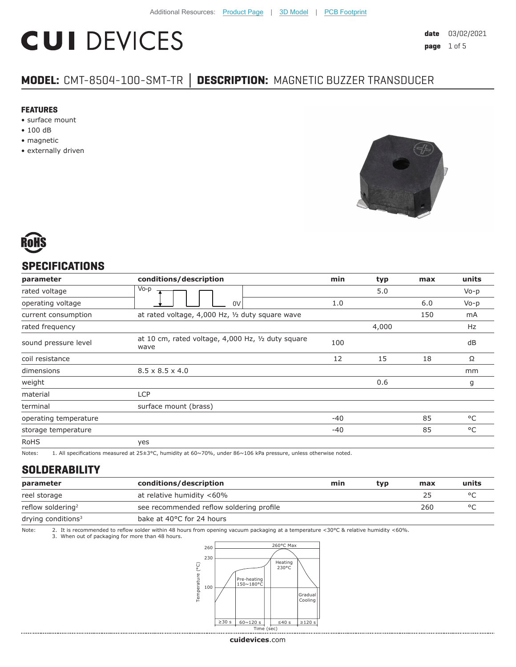# **CUI DEVICES**

# **MODEL:** CMT-8504-100-SMT-TR **│ DESCRIPTION:** MAGNETIC BUZZER TRANSDUCER

#### **FEATURES**

- surface mount
- 100 dB
- magnetic
- externally driven





#### **SPECIFICATIONS**

| parameter             | conditions/description                                     | min   | typ   | max | units     |
|-----------------------|------------------------------------------------------------|-------|-------|-----|-----------|
| rated voltage         | $V_0-p$                                                    |       | 5.0   |     | $V_0 - p$ |
| operating voltage     | 0V                                                         | 1.0   |       | 6.0 | $V_0 - p$ |
| current consumption   | at rated voltage, 4,000 Hz, 1/2 duty square wave           |       |       | 150 | mA        |
| rated frequency       |                                                            |       | 4,000 |     | Hz        |
| sound pressure level  | at 10 cm, rated voltage, 4,000 Hz, 1/2 duty square<br>wave | 100   |       |     | dB        |
| coil resistance       |                                                            | 12    | 15    | 18  | Ω         |
| dimensions            | $8.5 \times 8.5 \times 4.0$                                |       |       |     | mm        |
| weight                |                                                            |       | 0.6   |     | g         |
| material              | <b>LCP</b>                                                 |       |       |     |           |
| terminal              | surface mount (brass)                                      |       |       |     |           |
| operating temperature |                                                            | $-40$ |       | 85  | °C        |
| storage temperature   |                                                            | $-40$ |       | 85  | °C        |
| <b>RoHS</b>           | yes                                                        |       |       |     |           |

Notes: 1. All specifications measured at 25±3°C, humidity at 60~70%, under 86~106 kPa pressure, unless otherwise noted.

#### **SOLDERABILITY**

| parameter                     | conditions/description                   | min | typ | max | units |
|-------------------------------|------------------------------------------|-----|-----|-----|-------|
| reel storage                  | at relative humidity <60%                |     |     | 25  |       |
| reflow soldering <sup>2</sup> | see recommended reflow soldering profile |     |     | 260 |       |
| drying conditions $3$         | bake at 40°C for 24 hours                |     |     |     |       |

Note: 2. It is recommended to reflow solder within 48 hours from opening vacuum packaging at a temperature <30°C & relative humidity <60%.<br>3. When out of packaging for more than 48 hours.

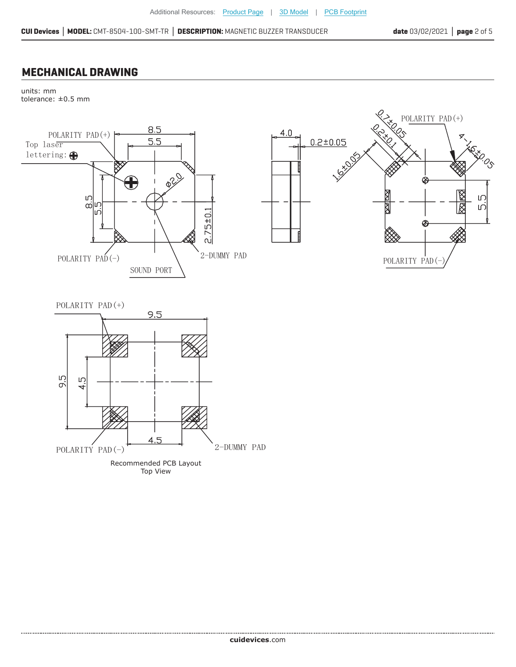#### **MECHANICAL DRAWING**

units: mm tolerance: ±0.5 mm



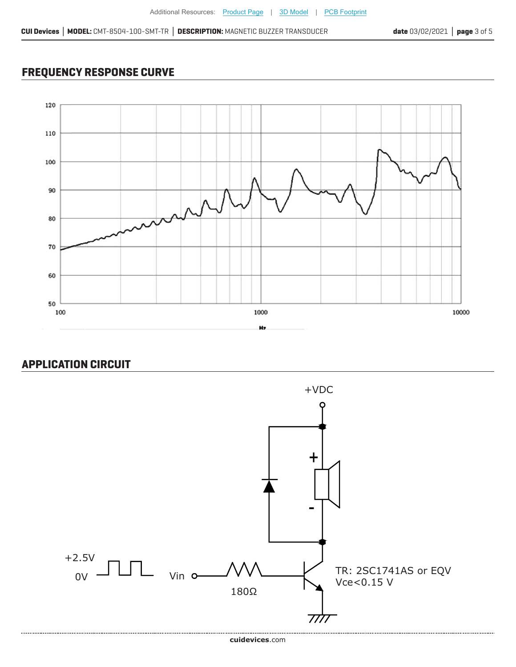## **FREQUENCY RESPONSE CURVE**



### **APPLICATION CIRCUIT**

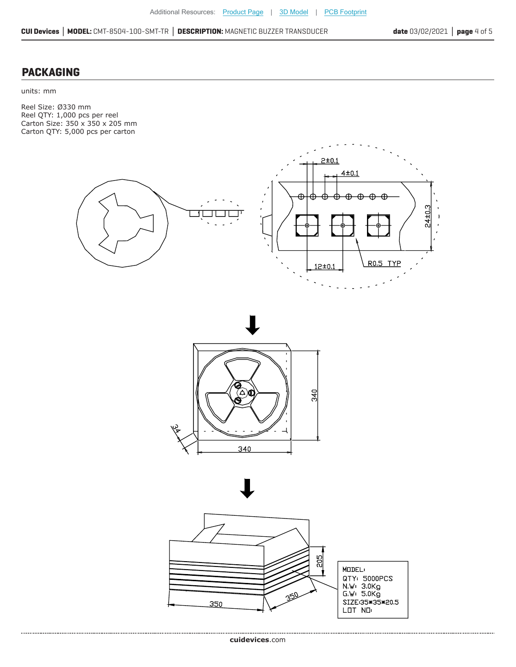### **PACKAGING**

units: mm

Reel Size: Ø330 mm Reel QTY: 1,000 pcs per reel Carton Size: 350 x 350 x 205 mm Carton QTY: 5,000 pcs per carton